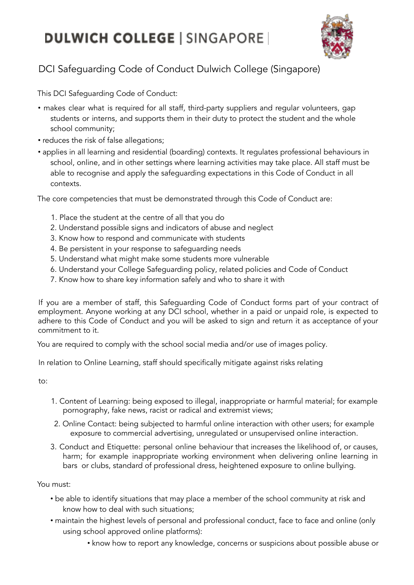## **DULWICH COLLEGE | SINGAPORE |**



## DCI Safeguarding Code of Conduct Dulwich College (Singapore)

This DCI Safeguarding Code of Conduct:

- makes clear what is required for all staff, third-party suppliers and regular volunteers, gap students or interns, and supports them in their duty to protect the student and the whole school community;
- reduces the risk of false allegations;
- applies in all learning and residential (boarding) contexts. It regulates professional behaviours in school, online, and in other settings where learning activities may take place. All staff must be able to recognise and apply the safeguarding expectations in this Code of Conduct in all contexts.

The core competencies that must be demonstrated through this Code of Conduct are:

- 1. Place the student at the centre of all that you do
- 2. Understand possible signs and indicators of abuse and neglect
- 3. Know how to respond and communicate with students
- 4. Be persistent in your response to safeguarding needs
- 5. Understand what might make some students more vulnerable
- 6. Understand your College Safeguarding policy, related policies and Code of Conduct
- 7. Know how to share key information safely and who to share it with

If you are a member of staff, this Safeguarding Code of Conduct forms part of your contract of employment. Anyone working at any DCI school, whether in a paid or unpaid role, is expected to adhere to this Code of Conduct and you will be asked to sign and return it as acceptance of your commitment to it.

You are required to comply with the school social media and/or use of images policy.

In relation to Online Learning, staff should specifically mitigate against risks relating

to:

- 1. Content of Learning: being exposed to illegal, inappropriate or harmful material; for example pornography, fake news, racist or radical and extremist views;
- 2. Online Contact: being subjected to harmful online interaction with other users; for example exposure to commercial advertising, unregulated or unsupervised online interaction.
- 3. Conduct and Etiquette: personal online behaviour that increases the likelihood of, or causes, harm; for example inappropriate working environment when delivering online learning in bars or clubs, standard of professional dress, heightened exposure to online bullying.

You must:

- be able to identify situations that may place a member of the school community at risk and know how to deal with such situations;
- maintain the highest levels of personal and professional conduct, face to face and online (only using school approved online platforms):
	- know how to report any knowledge, concerns or suspicions about possible abuse or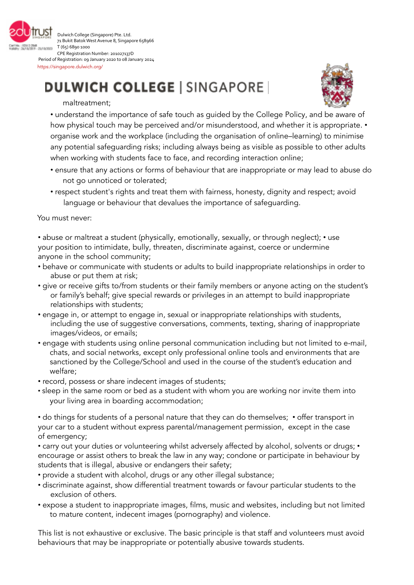

Dulwich College (Singapore) Pte. Ltd. 71 Bukit Batok West Avenue 8, Singapore 658966 T (65) 6890 1000 CPE Registration Number: 201027137D

Period of Registration: 09 January 2020 to 08 January 2024 https://singapore.dulwich.org/

## **DULWICH COLLEGE | SINGAPORE |**



maltreatment;

• understand the importance of safe touch as guided by the College Policy, and be aware of how physical touch may be perceived and/or misunderstood, and whether it is appropriate. • organise work and the workplace (including the organisation of online–learning) to minimise any potential safeguarding risks; including always being as visible as possible to other adults when working with students face to face, and recording interaction online;

- ensure that any actions or forms of behaviour that are inappropriate or may lead to abuse do not go unnoticed or tolerated;
- respect student's rights and treat them with fairness, honesty, dignity and respect; avoid language or behaviour that devalues the importance of safeguarding.

You must never:

• abuse or maltreat a student (physically, emotionally, sexually, or through neglect); • use your position to intimidate, bully, threaten, discriminate against, coerce or undermine anyone in the school community;

- behave or communicate with students or adults to build inappropriate relationships in order to abuse or put them at risk;
- give or receive gifts to/from students or their family members or anyone acting on the student's or family's behalf; give special rewards or privileges in an attempt to build inappropriate relationships with students;
- engage in, or attempt to engage in, sexual or inappropriate relationships with students, including the use of suggestive conversations, comments, texting, sharing of inappropriate images/videos, or emails;
- engage with students using online personal communication including but not limited to e-mail, chats, and social networks, except only professional online tools and environments that are sanctioned by the College/School and used in the course of the student's education and welfare;
- record, possess or share indecent images of students;
- sleep in the same room or bed as a student with whom you are working nor invite them into your living area in boarding accommodation;

• do things for students of a personal nature that they can do themselves; • offer transport in your car to a student without express parental/management permission, except in the case of emergency;

• carry out your duties or volunteering whilst adversely affected by alcohol, solvents or drugs; • encourage or assist others to break the law in any way; condone or participate in behaviour by students that is illegal, abusive or endangers their safety;

- provide a student with alcohol, drugs or any other illegal substance;
- discriminate against, show differential treatment towards or favour particular students to the exclusion of others.
- expose a student to inappropriate images, films, music and websites, including but not limited to mature content, indecent images (pornography) and violence.

This list is not exhaustive or exclusive. The basic principle is that staff and volunteers must avoid behaviours that may be inappropriate or potentially abusive towards students.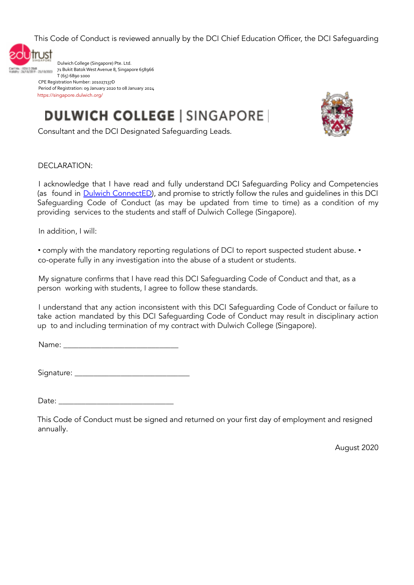This Code of Conduct is reviewed annually by the DCI Chief Education Officer, the DCI Safeguarding



Dulwich College (Singapore) Pte. Ltd. 71 Bukit BatokWestAvenue 8, Singapore 658966 T (65) 6890 1000 CPE Registration Number: 201027137D Period of Registration: 09 January 2020 to 08 January 2024 https://singapore.dulwich.org/

**DULWICH COLLEGE | SINGAPORE |** 



Consultant and the DCI Designated Safeguarding Leads.

DECLARATION:

I acknowledge that I have read and fully understand DCI Safeguarding Policy and Competencies (as found in Dulwich ConnectED), and promise to strictly follow the rules and guidelines in this DCI Safeguarding Code of Conduct (as may be updated from time to time) as a condition of my providing services to the students and staff of Dulwich College (Singapore).

In addition, I will:

• comply with the mandatory reporting regulations of DCI to report suspected student abuse. • co-operate fully in any investigation into the abuse of a student or students.

My signature confirms that I have read this DCI Safeguarding Code of Conduct and that, as a person working with students, I agree to follow these standards.

I understand that any action inconsistent with this DCI Safeguarding Code of Conduct or failure to take action mandated by this DCI Safeguarding Code of Conduct may result in disciplinary action up to and including termination of my contract with Dulwich College (Singapore).

Name:

Signature: \_\_\_\_\_\_\_\_\_\_\_\_\_\_\_\_\_\_\_\_\_\_\_\_\_\_\_\_\_\_

Date:

This Code of Conduct must be signed and returned on your first day of employment and resigned annually.

August 2020